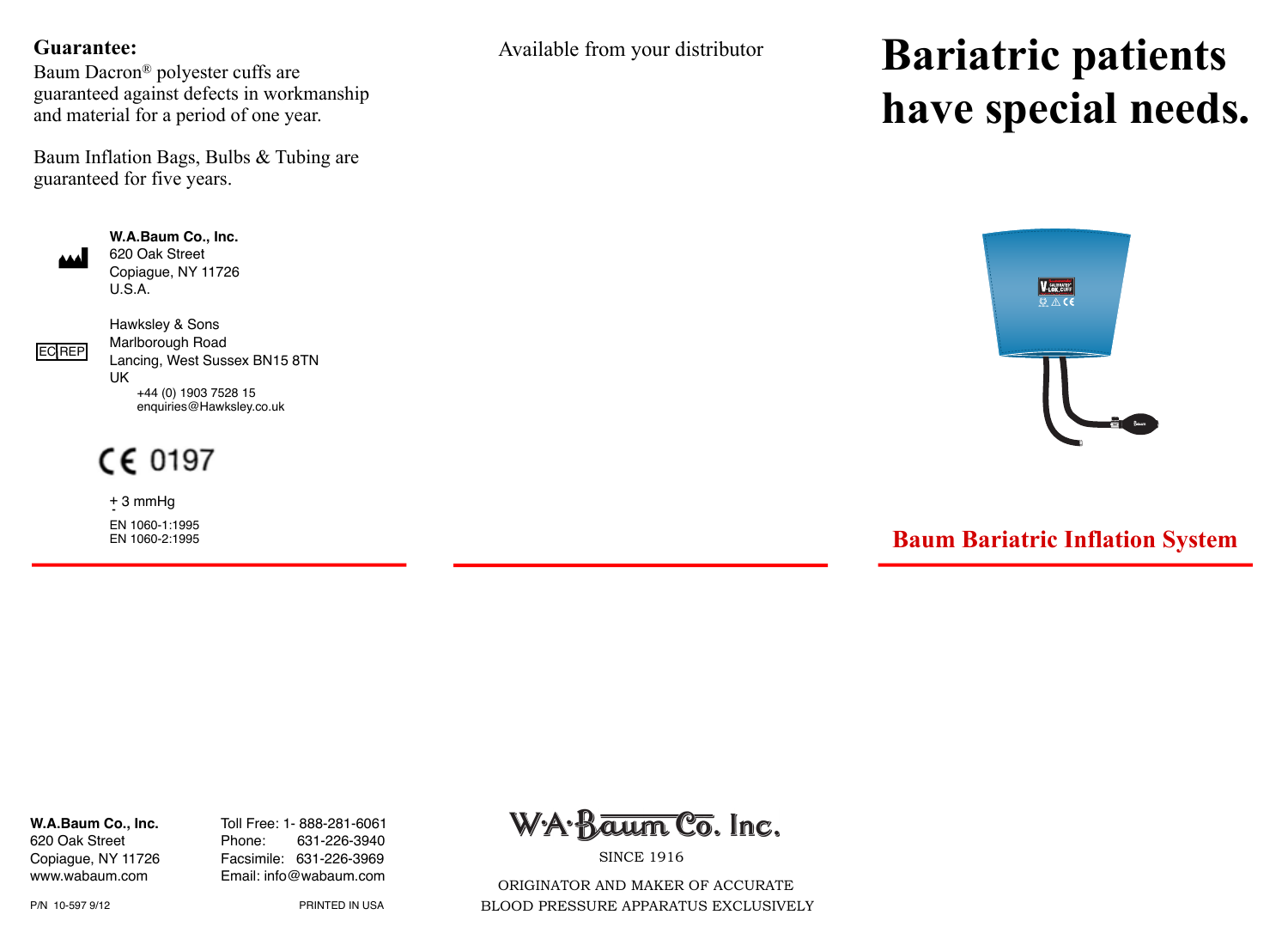#### **Guarantee:**

Baum Dacron<sup>®</sup> polyester cuffs are guaranteed against defects in workmanship and material for a period of one year.

Baum Inflation Bags, Bulbs & Tubing are guaranteed for five years.



**W.A.Baum Co., Inc.**  620 Oak Street Copiague, NY 11726 U.S.A.



Hawksley & Sons Marlborough Road Lancing, West Sussex BN15 8TN UK +44 (0) 1903 7528 15 enquiries@Hawksley.co.uk

 $CE 0197$ 

 + 3 mmHg **-** EN 1060-1:1995 EN 1060-2:1995 Available from your distributor

# **Bariatric patients have special needs.**



## **Baum Bariatric Inflation System**

620 Oak Street Phone:

**W.A.Baum Co., Inc.** Toll Free: 1- 888-281-6061 Copiague, NY 11726 Facsimile: 631-226-3969 www.wabaum.com Email: info@wabaum.com



**SINCE 1916** 

 ORIGINATOR AND MAKER OF ACCURATE BLOOD PRESSURE APPARATUS EXCLUSIVELY

P/N 10-597 9/12! ! PRINTED IN USA